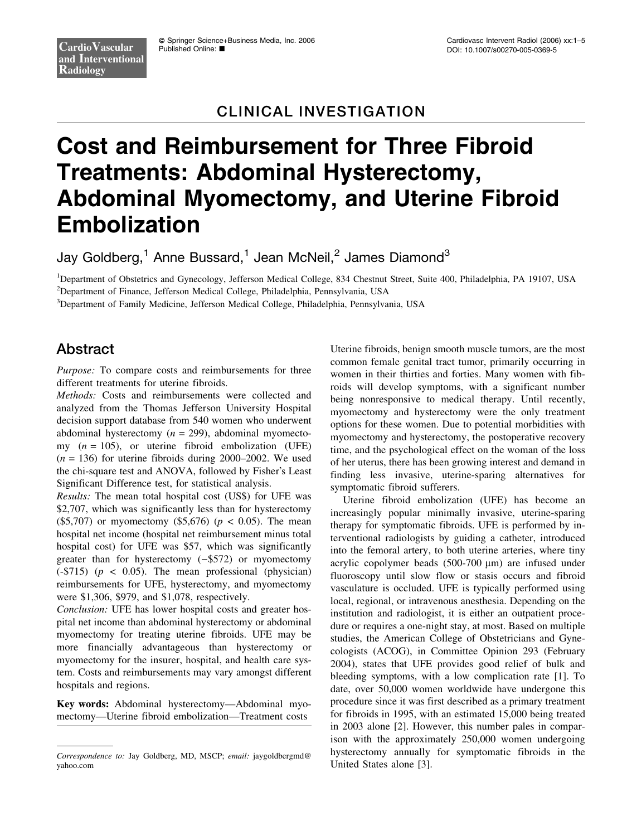# CLINICAL INVESTIGATION

# Cost and Reimbursement for Three Fibroid Treatments: Abdominal Hysterectomy, Abdominal Myomectomy, and Uterine Fibroid Embolization

Jay Goldberg,<sup>1</sup> Anne Bussard,<sup>1</sup> Jean McNeil,<sup>2</sup> James Diamond<sup>3</sup>

<sup>1</sup>Department of Obstetrics and Gynecology, Jefferson Medical College, 834 Chestnut Street, Suite 400, Philadelphia, PA 19107, USA 2 Department of Finance, Jefferson Medical College, Philadelphia, Pennsylvania, USA

3 Department of Family Medicine, Jefferson Medical College, Philadelphia, Pennsylvania, USA

## Abstract

Purpose: To compare costs and reimbursements for three different treatments for uterine fibroids.

Methods: Costs and reimbursements were collected and analyzed from the Thomas Jefferson University Hospital decision support database from 540 women who underwent abdominal hysterectomy  $(n = 299)$ , abdominal myomectomy  $(n = 105)$ , or uterine fibroid embolization (UFE)  $(n = 136)$  for uterine fibroids during 2000–2002. We used the chi-square test and ANOVA, followed by Fisher's Least Significant Difference test, for statistical analysis.

Results: The mean total hospital cost (US\$) for UFE was \$2,707, which was significantly less than for hysterectomy (\$5,707) or myomectomy (\$5,676) ( $p < 0.05$ ). The mean hospital net income (hospital net reimbursement minus total hospital cost) for UFE was \$57, which was significantly greater than for hysterectomy  $(-\$572)$  or myomectomy (-\$715) ( $p \lt 0.05$ ). The mean professional (physician) reimbursements for UFE, hysterectomy, and myomectomy were \$1,306, \$979, and \$1,078, respectively.

Conclusion: UFE has lower hospital costs and greater hospital net income than abdominal hysterectomy or abdominal myomectomy for treating uterine fibroids. UFE may be more financially advantageous than hysterectomy or myomectomy for the insurer, hospital, and health care system. Costs and reimbursements may vary amongst different hospitals and regions.

Key words: Abdominal hysterectomy—Abdominal myomectomy—Uterine fibroid embolization—Treatment costs

Uterine fibroids, benign smooth muscle tumors, are the most common female genital tract tumor, primarily occurring in women in their thirties and forties. Many women with fibroids will develop symptoms, with a significant number being nonresponsive to medical therapy. Until recently, myomectomy and hysterectomy were the only treatment options for these women. Due to potential morbidities with myomectomy and hysterectomy, the postoperative recovery time, and the psychological effect on the woman of the loss of her uterus, there has been growing interest and demand in finding less invasive, uterine-sparing alternatives for symptomatic fibroid sufferers.

Uterine fibroid embolization (UFE) has become an increasingly popular minimally invasive, uterine-sparing therapy for symptomatic fibroids. UFE is performed by interventional radiologists by guiding a catheter, introduced into the femoral artery, to both uterine arteries, where tiny acrylic copolymer beads (500-700 *l*m) are infused under fluoroscopy until slow flow or stasis occurs and fibroid vasculature is occluded. UFE is typically performed using local, regional, or intravenous anesthesia. Depending on the institution and radiologist, it is either an outpatient procedure or requires a one-night stay, at most. Based on multiple studies, the American College of Obstetricians and Gynecologists (ACOG), in Committee Opinion 293 (February 2004), states that UFE provides good relief of bulk and bleeding symptoms, with a low complication rate [1]. To date, over 50,000 women worldwide have undergone this procedure since it was first described as a primary treatment for fibroids in 1995, with an estimated 15,000 being treated in 2003 alone [2]. However, this number pales in comparison with the approximately 250,000 women undergoing hysterectomy annually for symptomatic fibroids in the United States alone [3].

Correspondence to: Jay Goldberg, MD, MSCP; email: jaygoldbergmd@ yahoo.com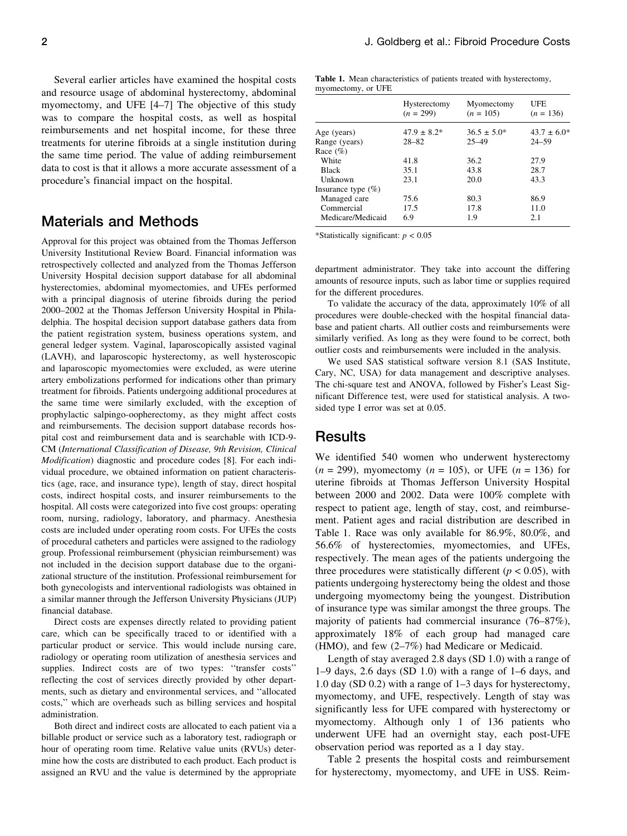Several earlier articles have examined the hospital costs and resource usage of abdominal hysterectomy, abdominal myomectomy, and UFE [4–7] The objective of this study was to compare the hospital costs, as well as hospital reimbursements and net hospital income, for these three treatments for uterine fibroids at a single institution during the same time period. The value of adding reimbursement data to cost is that it allows a more accurate assessment of a procedure's financial impact on the hospital.

## Materials and Methods

Approval for this project was obtained from the Thomas Jefferson University Institutional Review Board. Financial information was retrospectively collected and analyzed from the Thomas Jefferson University Hospital decision support database for all abdominal hysterectomies, abdominal myomectomies, and UFEs performed with a principal diagnosis of uterine fibroids during the period 2000–2002 at the Thomas Jefferson University Hospital in Philadelphia. The hospital decision support database gathers data from the patient registration system, business operations system, and general ledger system. Vaginal, laparoscopically assisted vaginal (LAVH), and laparoscopic hysterectomy, as well hysteroscopic and laparoscopic myomectomies were excluded, as were uterine artery embolizations performed for indications other than primary treatment for fibroids. Patients undergoing additional procedures at the same time were similarly excluded, with the exception of prophylactic salpingo-oopherectomy, as they might affect costs and reimbursements. The decision support database records hospital cost and reimbursement data and is searchable with ICD-9- CM (International Classification of Disease, 9th Revision, Clinical Modification) diagnostic and procedure codes [8]. For each individual procedure, we obtained information on patient characteristics (age, race, and insurance type), length of stay, direct hospital costs, indirect hospital costs, and insurer reimbursements to the hospital. All costs were categorized into five cost groups: operating room, nursing, radiology, laboratory, and pharmacy. Anesthesia costs are included under operating room costs. For UFEs the costs of procedural catheters and particles were assigned to the radiology group. Professional reimbursement (physician reimbursement) was not included in the decision support database due to the organizational structure of the institution. Professional reimbursement for both gynecologists and interventional radiologists was obtained in a similar manner through the Jefferson University Physicians (JUP) financial database.

Direct costs are expenses directly related to providing patient care, which can be specifically traced to or identified with a particular product or service. This would include nursing care, radiology or operating room utilization of anesthesia services and supplies. Indirect costs are of two types: ''transfer costs'' reflecting the cost of services directly provided by other departments, such as dietary and environmental services, and ''allocated costs,'' which are overheads such as billing services and hospital administration.

Both direct and indirect costs are allocated to each patient via a billable product or service such as a laboratory test, radiograph or hour of operating room time. Relative value units (RVUs) determine how the costs are distributed to each product. Each product is assigned an RVU and the value is determined by the appropriate

Table 1. Mean characteristics of patients treated with hysterectomy, myomectomy, or UFE

|                       | Hysterectomy<br>$(n = 299)$ | Myomectomy<br>$(n = 105)$ | UFE<br>$(n = 136)$ |
|-----------------------|-----------------------------|---------------------------|--------------------|
| Age (years)           | $47.9 \pm 8.2^*$            | $36.5 \pm 5.0^*$          | $43.7 \pm 6.0^*$   |
| Range (years)         | $28 - 82$                   | $25 - 49$                 | $24 - 59$          |
| Race $(\% )$          |                             |                           |                    |
| White                 | 41.8                        | 36.2                      | 27.9               |
| <b>Black</b>          | 35.1                        | 43.8                      | 28.7               |
| Unknown               | 23.1                        | 20.0                      | 43.3               |
| Insurance type $(\%)$ |                             |                           |                    |
| Managed care          | 75.6                        | 80.3                      | 86.9               |
| Commercial            | 17.5                        | 17.8                      | 11.0               |
| Medicare/Medicaid     | 6.9                         | 19                        | 2.1                |

\*Statistically significant:  $p < 0.05$ 

department administrator. They take into account the differing amounts of resource inputs, such as labor time or supplies required for the different procedures.

To validate the accuracy of the data, approximately 10% of all procedures were double-checked with the hospital financial database and patient charts. All outlier costs and reimbursements were similarly verified. As long as they were found to be correct, both outlier costs and reimbursements were included in the analysis.

We used SAS statistical software version 8.1 (SAS Institute, Cary, NC, USA) for data management and descriptive analyses. The chi-square test and ANOVA, followed by Fisher's Least Significant Difference test, were used for statistical analysis. A twosided type I error was set at 0.05.

## Results

We identified 540 women who underwent hysterectomy  $(n = 299)$ , myomectomy  $(n = 105)$ , or UFE  $(n = 136)$  for uterine fibroids at Thomas Jefferson University Hospital between 2000 and 2002. Data were 100% complete with respect to patient age, length of stay, cost, and reimbursement. Patient ages and racial distribution are described in Table 1. Race was only available for 86.9%, 80.0%, and 56.6% of hysterectomies, myomectomies, and UFEs, respectively. The mean ages of the patients undergoing the three procedures were statistically different ( $p < 0.05$ ), with patients undergoing hysterectomy being the oldest and those undergoing myomectomy being the youngest. Distribution of insurance type was similar amongst the three groups. The majority of patients had commercial insurance (76–87%), approximately 18% of each group had managed care (HMO), and few (2–7%) had Medicare or Medicaid.

Length of stay averaged 2.8 days (SD 1.0) with a range of 1–9 days, 2.6 days (SD 1.0) with a range of 1–6 days, and 1.0 day (SD 0.2) with a range of 1–3 days for hysterectomy, myomectomy, and UFE, respectively. Length of stay was significantly less for UFE compared with hysterectomy or myomectomy. Although only 1 of 136 patients who underwent UFE had an overnight stay, each post-UFE observation period was reported as a 1 day stay.

Table 2 presents the hospital costs and reimbursement for hysterectomy, myomectomy, and UFE in US\$. Reim-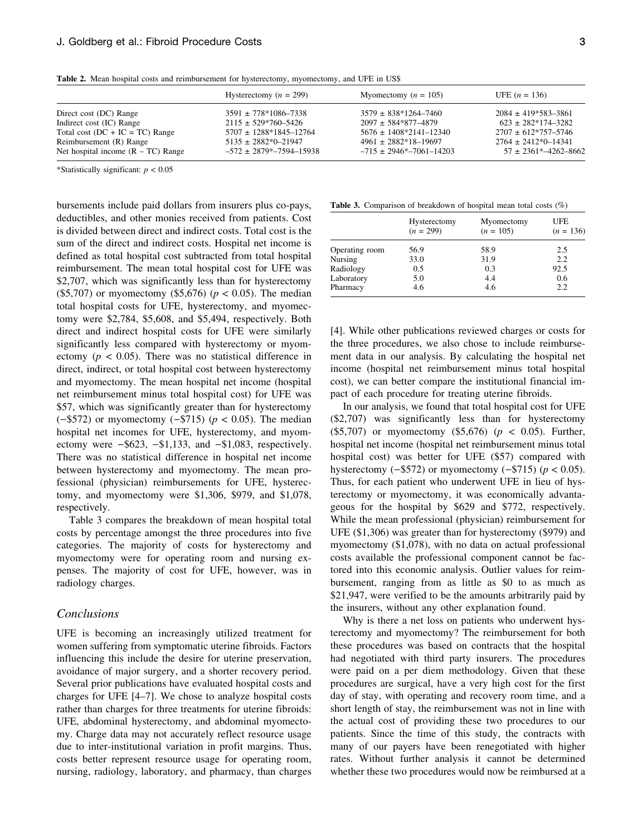|                                      | Hysterectomy $(n = 299)$          | Myomectomy $(n = 105)$            | UFE $(n = 136)$               |
|--------------------------------------|-----------------------------------|-----------------------------------|-------------------------------|
| Direct cost (DC) Range               | $3591 \pm 778*1086 - 7338$        | $3579 \pm 838*1264-7460$          | $2084 \pm 419*583-3861$       |
| Indirect cost (IC) Range             | $2115 \pm 529*760 - 5426$         | $2097 \pm 584*877-4879$           | $623 \pm 282*174-3282$        |
| Total cost $(DC + IC = TC)$ Range    | $5707 \pm 1288*1845 - 12764$      | $5676 \pm 1408*2141 - 12340$      | $2707 + 612*757-5746$         |
| Reimbursement (R) Range              | $5135 \pm 2882*0 - 21947$         | $4961 \pm 2882*18-19697$          | $2764 \pm 2412*0 - 14341$     |
| Net hospital income $(R - TC)$ Range | $-572 \pm 2879$ * $-7594 - 15938$ | $-715 \pm 2946$ * $-7061 - 14203$ | $57 \pm 2361^* - 4262 - 8662$ |

\*Statistically significant:  $p < 0.05$ 

bursements include paid dollars from insurers plus co-pays, deductibles, and other monies received from patients. Cost is divided between direct and indirect costs. Total cost is the sum of the direct and indirect costs. Hospital net income is defined as total hospital cost subtracted from total hospital reimbursement. The mean total hospital cost for UFE was \$2,707, which was significantly less than for hysterectomy (\$5,707) or myomectomy (\$5,676) ( $p < 0.05$ ). The median total hospital costs for UFE, hysterectomy, and myomectomy were \$2,784, \$5,608, and \$5,494, respectively. Both direct and indirect hospital costs for UFE were similarly significantly less compared with hysterectomy or myomectomy ( $p < 0.05$ ). There was no statistical difference in direct, indirect, or total hospital cost between hysterectomy and myomectomy. The mean hospital net income (hospital net reimbursement minus total hospital cost) for UFE was \$57, which was significantly greater than for hysterectomy  $(-\$572)$  or myomectomy  $(-\$715)$  ( $p < 0.05$ ). The median hospital net incomes for UFE, hysterectomy, and myomectomy were  $-$ \$623,  $-$ \$1,133, and  $-$ \$1,083, respectively. There was no statistical difference in hospital net income between hysterectomy and myomectomy. The mean professional (physician) reimbursements for UFE, hysterectomy, and myomectomy were \$1,306, \$979, and \$1,078, respectively.

Table 3 compares the breakdown of mean hospital total costs by percentage amongst the three procedures into five categories. The majority of costs for hysterectomy and myomectomy were for operating room and nursing expenses. The majority of cost for UFE, however, was in radiology charges.

### Conclusions

UFE is becoming an increasingly utilized treatment for women suffering from symptomatic uterine fibroids. Factors influencing this include the desire for uterine preservation, avoidance of major surgery, and a shorter recovery period. Several prior publications have evaluated hospital costs and charges for UFE [4–7]. We chose to analyze hospital costs rather than charges for three treatments for uterine fibroids: UFE, abdominal hysterectomy, and abdominal myomectomy. Charge data may not accurately reflect resource usage due to inter-institutional variation in profit margins. Thus, costs better represent resource usage for operating room, nursing, radiology, laboratory, and pharmacy, than charges

Table 3. Comparison of breakdown of hospital mean total costs (%)

|                | Hysterectomy<br>$(n = 299)$ | Myomectomy<br>$(n = 105)$ | UFE<br>$(n = 136)$ |
|----------------|-----------------------------|---------------------------|--------------------|
| Operating room | 56.9                        | 58.9                      | 2.5                |
| Nursing        | 33.0                        | 31.9                      | 2.2                |
| Radiology      | 0.5                         | 0.3                       | 92.5               |
| Laboratory     | 5.0                         | 4.4                       | 0.6                |
| Pharmacy       | 4.6                         | 4.6                       | 2.2.               |

[4]. While other publications reviewed charges or costs for the three procedures, we also chose to include reimbursement data in our analysis. By calculating the hospital net income (hospital net reimbursement minus total hospital cost), we can better compare the institutional financial impact of each procedure for treating uterine fibroids.

In our analysis, we found that total hospital cost for UFE (\$2,707) was significantly less than for hysterectomy (\$5,707) or myomectomy (\$5,676) ( $p < 0.05$ ). Further, hospital net income (hospital net reimbursement minus total hospital cost) was better for UFE (\$57) compared with hysterectomy  $(-\$572)$  or myomectomy  $(-\$715)$  ( $p < 0.05$ ). Thus, for each patient who underwent UFE in lieu of hysterectomy or myomectomy, it was economically advantageous for the hospital by \$629 and \$772, respectively. While the mean professional (physician) reimbursement for UFE (\$1,306) was greater than for hysterectomy (\$979) and myomectomy (\$1,078), with no data on actual professional costs available the professional component cannot be factored into this economic analysis. Outlier values for reimbursement, ranging from as little as \$0 to as much as \$21,947, were verified to be the amounts arbitrarily paid by the insurers, without any other explanation found.

Why is there a net loss on patients who underwent hysterectomy and myomectomy? The reimbursement for both these procedures was based on contracts that the hospital had negotiated with third party insurers. The procedures were paid on a per diem methodology. Given that these procedures are surgical, have a very high cost for the first day of stay, with operating and recovery room time, and a short length of stay, the reimbursement was not in line with the actual cost of providing these two procedures to our patients. Since the time of this study, the contracts with many of our payers have been renegotiated with higher rates. Without further analysis it cannot be determined whether these two procedures would now be reimbursed at a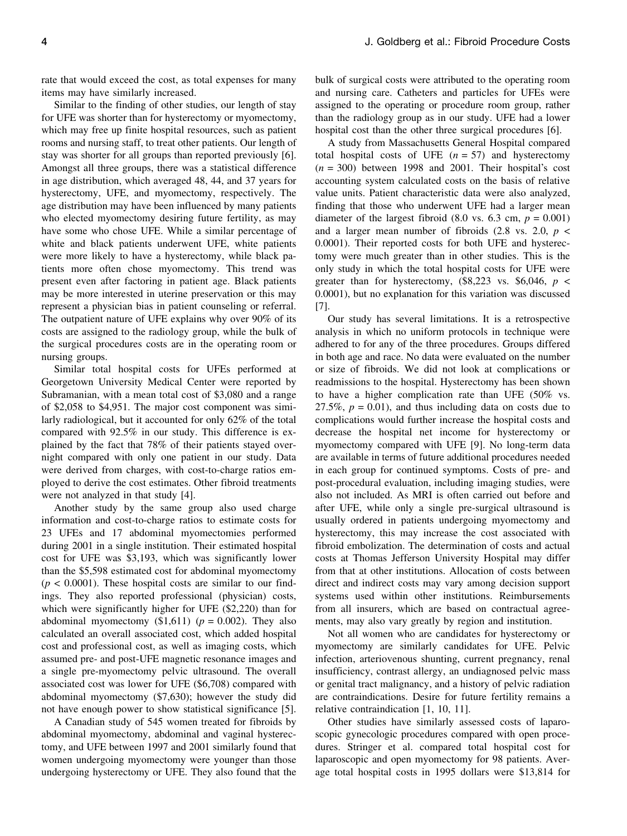rate that would exceed the cost, as total expenses for many items may have similarly increased.

Similar to the finding of other studies, our length of stay for UFE was shorter than for hysterectomy or myomectomy, which may free up finite hospital resources, such as patient rooms and nursing staff, to treat other patients. Our length of stay was shorter for all groups than reported previously [6]. Amongst all three groups, there was a statistical difference in age distribution, which averaged 48, 44, and 37 years for hysterectomy, UFE, and myomectomy, respectively. The age distribution may have been influenced by many patients who elected myomectomy desiring future fertility, as may have some who chose UFE. While a similar percentage of white and black patients underwent UFE, white patients were more likely to have a hysterectomy, while black patients more often chose myomectomy. This trend was present even after factoring in patient age. Black patients may be more interested in uterine preservation or this may represent a physician bias in patient counseling or referral. The outpatient nature of UFE explains why over 90% of its costs are assigned to the radiology group, while the bulk of the surgical procedures costs are in the operating room or nursing groups.

Similar total hospital costs for UFEs performed at Georgetown University Medical Center were reported by Subramanian, with a mean total cost of \$3,080 and a range of \$2,058 to \$4,951. The major cost component was similarly radiological, but it accounted for only 62% of the total compared with 92.5% in our study. This difference is explained by the fact that 78% of their patients stayed overnight compared with only one patient in our study. Data were derived from charges, with cost-to-charge ratios employed to derive the cost estimates. Other fibroid treatments were not analyzed in that study [4].

Another study by the same group also used charge information and cost-to-charge ratios to estimate costs for 23 UFEs and 17 abdominal myomectomies performed during 2001 in a single institution. Their estimated hospital cost for UFE was \$3,193, which was significantly lower than the \$5,598 estimated cost for abdominal myomectomy  $(p < 0.0001)$ . These hospital costs are similar to our findings. They also reported professional (physician) costs, which were significantly higher for UFE (\$2,220) than for abdominal myomectomy  $(\$1,611)$  ( $p = 0.002$ ). They also calculated an overall associated cost, which added hospital cost and professional cost, as well as imaging costs, which assumed pre- and post-UFE magnetic resonance images and a single pre-myomectomy pelvic ultrasound. The overall associated cost was lower for UFE (\$6,708) compared with abdominal myomectomy (\$7,630); however the study did not have enough power to show statistical significance [5].

A Canadian study of 545 women treated for fibroids by abdominal myomectomy, abdominal and vaginal hysterectomy, and UFE between 1997 and 2001 similarly found that women undergoing myomectomy were younger than those undergoing hysterectomy or UFE. They also found that the

bulk of surgical costs were attributed to the operating room and nursing care. Catheters and particles for UFEs were assigned to the operating or procedure room group, rather than the radiology group as in our study. UFE had a lower hospital cost than the other three surgical procedures [6].

A study from Massachusetts General Hospital compared total hospital costs of UFE  $(n = 57)$  and hysterectomy  $(n = 300)$  between 1998 and 2001. Their hospital's cost accounting system calculated costs on the basis of relative value units. Patient characteristic data were also analyzed, finding that those who underwent UFE had a larger mean diameter of the largest fibroid (8.0 vs. 6.3 cm,  $p = 0.001$ ) and a larger mean number of fibroids  $(2.8 \text{ vs. } 2.0, p \leq$ 0.0001). Their reported costs for both UFE and hysterectomy were much greater than in other studies. This is the only study in which the total hospital costs for UFE were greater than for hysterectomy,  $(\$8,223$  vs.  $\$6,046$ ,  $p <$ 0.0001), but no explanation for this variation was discussed [7].

Our study has several limitations. It is a retrospective analysis in which no uniform protocols in technique were adhered to for any of the three procedures. Groups differed in both age and race. No data were evaluated on the number or size of fibroids. We did not look at complications or readmissions to the hospital. Hysterectomy has been shown to have a higher complication rate than UFE (50% vs. 27.5%,  $p = 0.01$ ), and thus including data on costs due to complications would further increase the hospital costs and decrease the hospital net income for hysterectomy or myomectomy compared with UFE [9]. No long-term data are available in terms of future additional procedures needed in each group for continued symptoms. Costs of pre- and post-procedural evaluation, including imaging studies, were also not included. As MRI is often carried out before and after UFE, while only a single pre-surgical ultrasound is usually ordered in patients undergoing myomectomy and hysterectomy, this may increase the cost associated with fibroid embolization. The determination of costs and actual costs at Thomas Jefferson University Hospital may differ from that at other institutions. Allocation of costs between direct and indirect costs may vary among decision support systems used within other institutions. Reimbursements from all insurers, which are based on contractual agreements, may also vary greatly by region and institution.

Not all women who are candidates for hysterectomy or myomectomy are similarly candidates for UFE. Pelvic infection, arteriovenous shunting, current pregnancy, renal insufficiency, contrast allergy, an undiagnosed pelvic mass or genital tract malignancy, and a history of pelvic radiation are contraindications. Desire for future fertility remains a relative contraindication [1, 10, 11].

Other studies have similarly assessed costs of laparoscopic gynecologic procedures compared with open procedures. Stringer et al. compared total hospital cost for laparoscopic and open myomectomy for 98 patients. Average total hospital costs in 1995 dollars were \$13,814 for